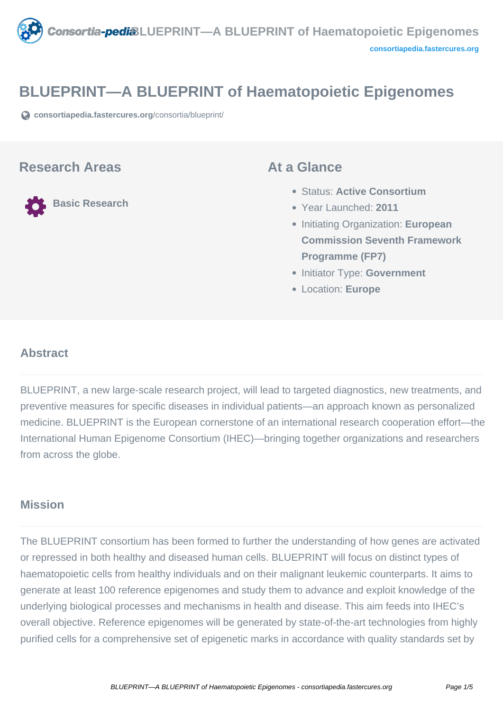

# **BLUEPRINT—A BLUEPRINT of Haematopoietic Epigenomes**

**[consortiapedia.fastercures.org](https://consortiapedia.fastercures.org/consortia/blueprint/)**[/consortia/blueprint/](https://consortiapedia.fastercures.org/consortia/blueprint/)

#### **Research Areas**

**Basic Research**

#### **At a Glance**

- Status: **Active Consortium**
- Year Launched: **2011**
- **Initiating Organization: European Commission Seventh Framework Programme (FP7)**
- **Initiator Type: Government**
- Location: **Europe**

#### $\overline{a}$ **Abstract**

BLUEPRINT, a new large-scale research project, will lead to targeted diagnostics, new treatments, and preventive measures for specific diseases in individual patients—an approach known as personalized medicine. BLUEPRINT is the European cornerstone of an international research cooperation effort—the International Human Epigenome Consortium (IHEC)—bringing together organizations and researchers from across the globe.

## **Mission**

The BLUEPRINT consortium has been formed to further the understanding of how genes are activated or repressed in both healthy and diseased human cells. BLUEPRINT will focus on distinct types of haematopoietic cells from healthy individuals and on their malignant leukemic counterparts. It aims to generate at least 100 reference epigenomes and study them to advance and exploit knowledge of the underlying biological processes and mechanisms in health and disease. This aim feeds into IHEC's overall objective. Reference epigenomes will be generated by state-of-the-art technologies from highly purified cells for a comprehensive set of epigenetic marks in accordance with quality standards set by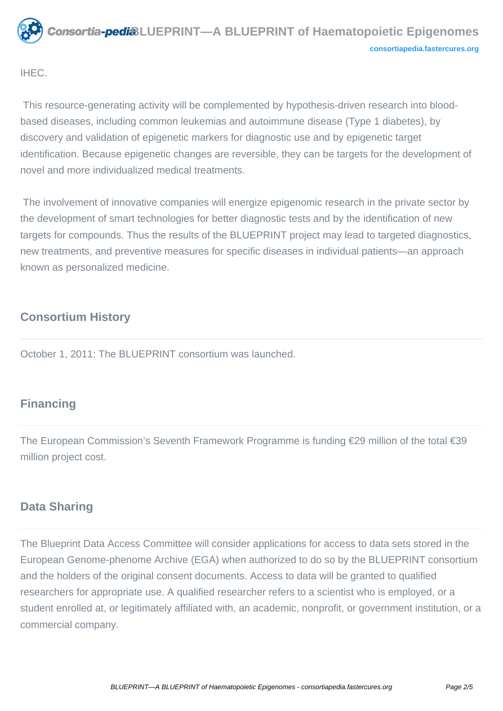

IHEC.

 This resource-generating activity will be complemented by hypothesis-driven research into bloodbased diseases, including common leukemias and autoimmune disease (Type 1 diabetes), by discovery and validation of epigenetic markers for diagnostic use and by epigenetic target identification. Because epigenetic changes are reversible, they can be targets for the development of novel and more individualized medical treatments.

 The involvement of innovative companies will energize epigenomic research in the private sector by the development of smart technologies for better diagnostic tests and by the identification of new targets for compounds. Thus the results of the BLUEPRINT project may lead to targeted diagnostics, new treatments, and preventive measures for specific diseases in individual patients—an approach known as personalized medicine.

## **Consortium History**

October 1, 2011: The BLUEPRINT consortium was launched.

# **Financing**

The European Commission's Seventh Framework Programme is funding €29 million of the total €39 million project cost.

# **Data Sharing**

The Blueprint Data Access Committee will consider applications for access to data sets stored in the European Genome-phenome Archive (EGA) when authorized to do so by the BLUEPRINT consortium and the holders of the original consent documents. Access to data will be granted to qualified researchers for appropriate use. A qualified researcher refers to a scientist who is employed, or a student enrolled at, or legitimately affiliated with, an academic, nonprofit, or government institution, or a commercial company.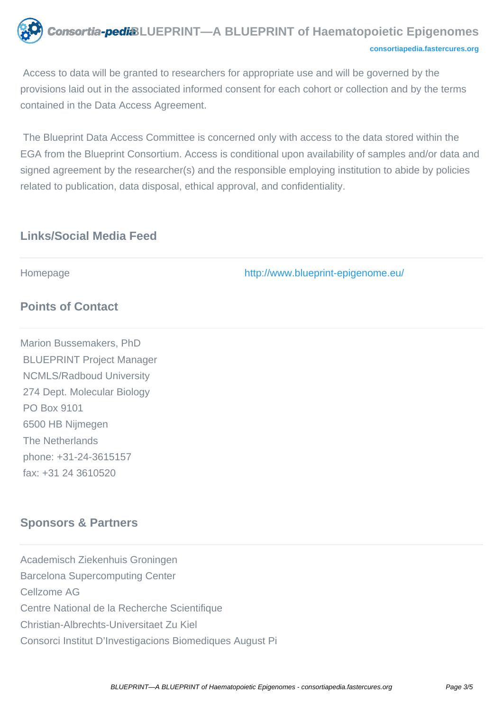

 Access to data will be granted to researchers for appropriate use and will be governed by the provisions laid out in the associated informed consent for each cohort or collection and by the terms contained in the Data Access Agreement.

 The Blueprint Data Access Committee is concerned only with access to the data stored within the EGA from the Blueprint Consortium. Access is conditional upon availability of samples and/or data and signed agreement by the researcher(s) and the responsible employing institution to abide by policies related to publication, data disposal, ethical approval, and confidentiality.

## **Links/Social Media Feed**

Homepage <http://www.blueprint-epigenome.eu/>

# **Points of Contact**

Marion Bussemakers, PhD BLUEPRINT Project Manager NCMLS/Radboud University 274 Dept. Molecular Biology PO Box 9101 6500 HB Nijmegen The Netherlands phone: +31-24-3615157 fax: +31 24 3610520

# **Sponsors & Partners**

Academisch Ziekenhuis Groningen Barcelona Supercomputing Center Cellzome AG Centre National de la Recherche Scientifique Christian-Albrechts-Universitaet Zu Kiel Consorci Institut D'Investigacions Biomediques August Pi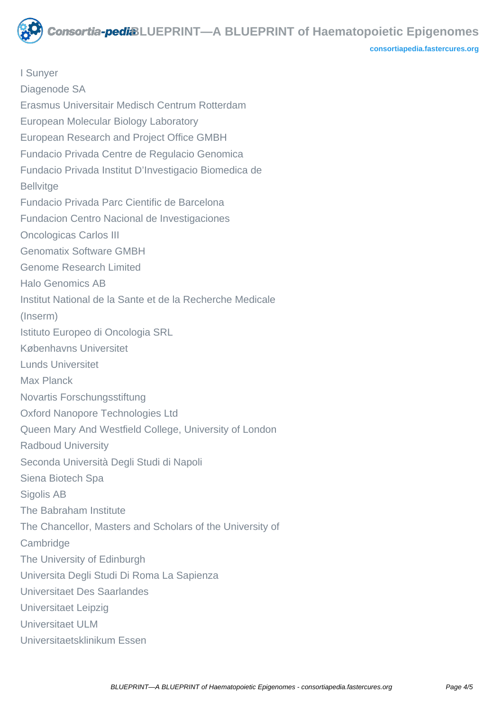**Consortia-pedi**&LUEPRINT—A BLUEPRINT of Haematopoietic Epigenomes

**[consortiapedia.fastercures.org](http://consortiapedia.fastercures.org/)**

I Sunyer Diagenode SA Erasmus Universitair Medisch Centrum Rotterdam European Molecular Biology Laboratory European Research and Project Office GMBH Fundacio Privada Centre de Regulacio Genomica Fundacio Privada Institut D'Investigacio Biomedica de **Bellvitge** Fundacio Privada Parc Cientific de Barcelona Fundacion Centro Nacional de Investigaciones Oncologicas Carlos III Genomatix Software GMBH Genome Research Limited Halo Genomics AB Institut National de la Sante et de la Recherche Medicale (Inserm) Istituto Europeo di Oncologia SRL Københavns Universitet Lunds Universitet Max Planck Novartis Forschungsstiftung Oxford Nanopore Technologies Ltd Queen Mary And Westfield College, University of London Radboud University Seconda Università Degli Studi di Napoli Siena Biotech Spa Sigolis AB The Babraham Institute The Chancellor, Masters and Scholars of the University of **Cambridge** The University of Edinburgh Universita Degli Studi Di Roma La Sapienza Universitaet Des Saarlandes Universitaet Leipzig Universitaet ULM Universitaetsklinikum Essen